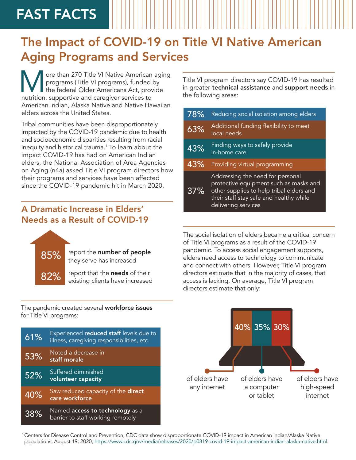# FAST FACTS

## The Impact of COVID-19 on Title VI Native American Aging Programs and Services

ore than 270 Title VI Native American aging programs (Title VI programs), funded by the federal Older Americans Act, provide nutrition, supportive and caregiver services to American Indian, Alaska Native and Native Hawaiian elders across the United States.

Tribal communities have been disproportionately impacted by the COVID-19 pandemic due to health and socioeconomic disparities resulting from racial inequity and historical trauma.<sup>1</sup> To learn about the impact COVID-19 has had on American Indian elders, the National Association of Area Agencies on Aging (n4a) asked Title VI program directors how their programs and services have been affected since the COVID-19 pandemic hit in March 2020.

### A Dramatic Increase in Elders' Needs as a Result of COVID-19



85% report the number of people they serve has increased

> report that the needs of their existing clients have increased

Title VI program directors say COVID-19 has resulted in greater technical assistance and support needs in the following areas:

| 78% | Reducing social isolation among elders                                                                                                                                                   |
|-----|------------------------------------------------------------------------------------------------------------------------------------------------------------------------------------------|
| 63% | Additional funding flexibility to meet<br>local needs                                                                                                                                    |
| 43% | Finding ways to safely provide<br>in-home care                                                                                                                                           |
| 43% | Providing virtual programming                                                                                                                                                            |
| 37% | Addressing the need for personal<br>protective equipment such as masks and<br>other supplies to help tribal elders and<br>their staff stay safe and healthy while<br>delivering services |

The social isolation of elders became a critical concern of Title VI programs as a result of the COVID-19 pandemic. To access social engagement supports, elders need access to technology to communicate and connect with others. However, Title VI program directors estimate that in the majority of cases, that access is lacking. On average, Title VI program directors estimate that only:



The pandemic created several **workforce issues** for Title VI programs:

| 61% | Experienced reduced staff levels due to<br>illness, caregiving responsibilities, etc. |
|-----|---------------------------------------------------------------------------------------|
| 53% | Noted a decrease in<br>staff morale                                                   |
| 52% | Suffered diminished<br>volunteer capacity                                             |
| 40% | Saw reduced capacity of the direct<br>care workforce                                  |
| 38% | Named access to technology as a<br>barrier to staff working remotely                  |

1 Centers for Disease Control and Prevention, CDC data show disproportionate COVID-19 impact in American Indian/Alaska Native populations, August 19, 2020, <https://www.cdc.gov/media/releases/2020/p0819-covid-19-impact-american-indian-alaska-native.html.>